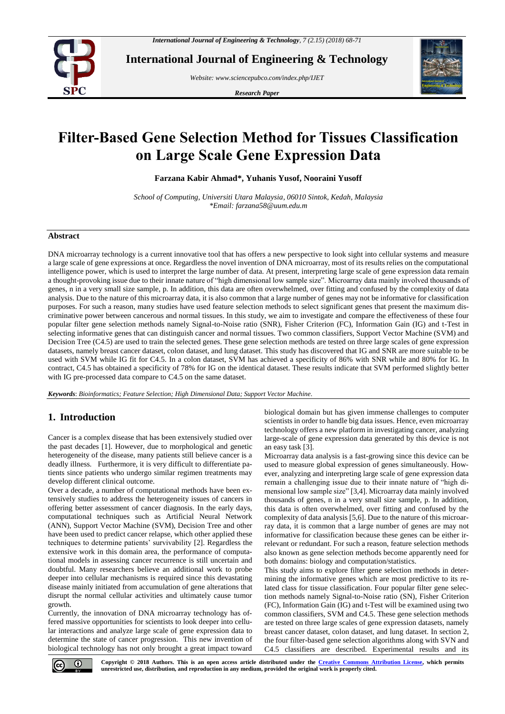

**International Journal of Engineering & Technology**

*Website: www.sciencepubco.com/index.php/IJET*

*Research Paper*



# **Filter-Based Gene Selection Method for Tissues Classification on Large Scale Gene Expression Data**

**Farzana Kabir Ahmad\*, Yuhanis Yusof, Nooraini Yusoff**

*School of Computing, Universiti Utara Malaysia, 06010 Sintok, Kedah, Malaysia \*Email: farzana58@uum.edu.m*

## **Abstract**

DNA microarray technology is a current innovative tool that has offers a new perspective to look sight into cellular systems and measure a large scale of gene expressions at once. Regardless the novel invention of DNA microarray, most of its results relies on the computational intelligence power, which is used to interpret the large number of data. At present, interpreting large scale of gene expression data remain a thought-provoking issue due to their innate nature of "high dimensional low sample size". Microarray data mainly involved thousands of genes, n in a very small size sample, p. In addition, this data are often overwhelmed, over fitting and confused by the complexity of data analysis. Due to the nature of this microarray data, it is also common that a large number of genes may not be informative for classification purposes. For such a reason, many studies have used feature selection methods to select significant genes that present the maximum discriminative power between cancerous and normal tissues. In this study, we aim to investigate and compare the effectiveness of these four popular filter gene selection methods namely Signal-to-Noise ratio (SNR), Fisher Criterion (FC), Information Gain (IG) and t-Test in selecting informative genes that can distinguish cancer and normal tissues. Two common classifiers, Support Vector Machine (SVM) and Decision Tree (C4.5) are used to train the selected genes. These gene selection methods are tested on three large scales of gene expression datasets, namely breast cancer dataset, colon dataset, and lung dataset. This study has discovered that IG and SNR are more suitable to be used with SVM while IG fit for C4.5. In a colon dataset, SVM has achieved a specificity of 86% with SNR while and 80% for IG. In contract, C4.5 has obtained a specificity of 78% for IG on the identical dataset. These results indicate that SVM performed slightly better with IG pre-processed data compare to C4.5 on the same dataset.

*Keywords*: *Bioinformatics; Feature Selection; High Dimensional Data; Support Vector Machine.*

# **1. Introduction**

Cancer is a complex disease that has been extensively studied over the past decades [1]. However, due to morphological and genetic heterogeneity of the disease, many patients still believe cancer is a deadly illness. Furthermore, it is very difficult to differentiate patients since patients who undergo similar regimen treatments may develop different clinical outcome.

Over a decade, a number of computational methods have been extensively studies to address the heterogeneity issues of cancers in offering better assessment of cancer diagnosis. In the early days, computational techniques such as Artificial Neural Network (ANN), Support Vector Machine (SVM), Decision Tree and other have been used to predict cancer relapse, which other applied these techniques to determine patients' survivability [2]. Regardless the extensive work in this domain area, the performance of computational models in assessing cancer recurrence is still uncertain and doubtful. Many researchers believe an additional work to probe deeper into cellular mechanisms is required since this devastating disease mainly initiated from accumulation of gene alterations that disrupt the normal cellular activities and ultimately cause tumor growth.

Currently, the innovation of DNA microarray technology has offered massive opportunities for scientists to look deeper into cellular interactions and analyze large scale of gene expression data to determine the state of cancer progression. This new invention of biological technology has not only brought a great impact toward biological domain but has given immense challenges to computer scientists in order to handle big data issues. Hence, even microarray technology offers a new platform in investigating cancer, analyzing large-scale of gene expression data generated by this device is not an easy task [3].

Microarray data analysis is a fast-growing since this device can be used to measure global expression of genes simultaneously. However, analyzing and interpreting large scale of gene expression data remain a challenging issue due to their innate nature of "high dimensional low sample size" [3,4]. Microarray data mainly involved thousands of genes, n in a very small size sample, p. In addition, this data is often overwhelmed, over fitting and confused by the complexity of data analysis [5,6]. Due to the nature of this microarray data, it is common that a large number of genes are may not informative for classification because these genes can be either irrelevant or redundant. For such a reason, feature selection methods also known as gene selection methods become apparently need for both domains: biology and computation/statistics.

This study aims to explore filter gene selection methods in determining the informative genes which are most predictive to its related class for tissue classification. Four popular filter gene selection methods namely Signal-to-Noise ratio (SN), Fisher Criterion (FC), Information Gain (IG) and t-Test will be examined using two common classifiers, SVM and C4.5. These gene selection methods are tested on three large scales of gene expression datasets, namely breast cancer dataset, colon dataset, and lung dataset. In section 2, the four filter-based gene selection algorithms along with SVN and C4.5 classifiers are described. Experimental results and its

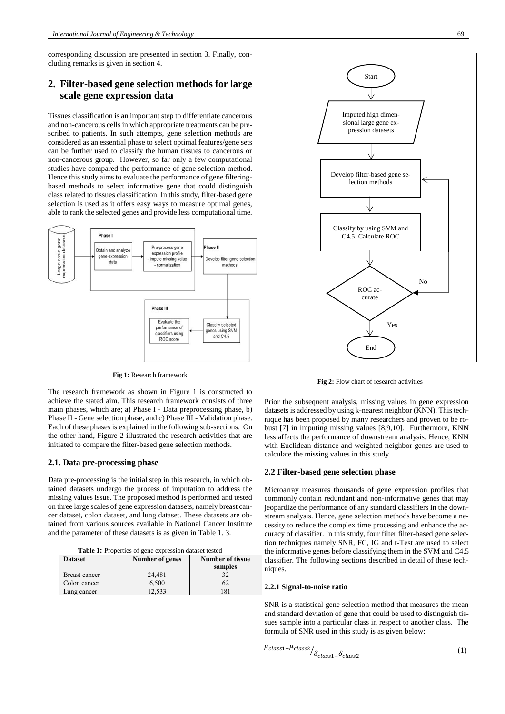corresponding discussion are presented in section 3. Finally, concluding remarks is given in section 4.

# **2. Filter-based gene selection methods for large scale gene expression data**

Tissues classification is an important step to differentiate cancerous and non-cancerous cells in which appropriate treatments can be prescribed to patients. In such attempts, gene selection methods are considered as an essential phase to select optimal features/gene sets can be further used to classify the human tissues to cancerous or non-cancerous group. However, so far only a few computational studies have compared the performance of gene selection method. Hence this study aims to evaluate the performance of gene filteringbased methods to select informative gene that could distinguish class related to tissues classification. In this study, filter-based gene selection is used as it offers easy ways to measure optimal genes, able to rank the selected genes and provide less computational time.



**Fig 1:** Research framework

The research framework as shown in Figure 1 is constructed to achieve the stated aim. This research framework consists of three main phases, which are; a) Phase I - Data preprocessing phase, b) Phase II - Gene selection phase, and c) Phase III - Validation phase. Each of these phases is explained in the following sub-sections. On the other hand, Figure 2 illustrated the research activities that are initiated to compare the filter-based gene selection methods.

# **2.1. Data pre-processing phase**

Data pre-processing is the initial step in this research, in which obtained datasets undergo the process of imputation to address the missing values issue. The proposed method is performed and tested on three large scales of gene expression datasets, namely breast cancer dataset, colon dataset, and lung dataset. These datasets are obtained from various sources available in National Cancer Institute and the parameter of these datasets is as given in Table 1. 3.

**Table 1:** Properties of gene expression dataset tested

|                |                 |                         | .  |
|----------------|-----------------|-------------------------|----|
| <b>Dataset</b> | Number of genes | <b>Number of tissue</b> | cl |
|                |                 | samples                 | ni |
| Breast cancer  | 24.481          |                         |    |
| Colon cancer   | 6.500           |                         |    |
| Lung cancer    | 12.533          |                         | Ζ. |



**Fig 2:** Flow chart of research activities

Prior the subsequent analysis, missing values in gene expression datasets is addressed by using k-nearest neighbor (KNN). This technique has been proposed by many researchers and proven to be robust [7] in imputing missing values [8,9,10]. Furthermore, KNN less affects the performance of downstream analysis. Hence, KNN with Euclidean distance and weighted neighbor genes are used to calculate the missing values in this study

#### **2.2 Filter-based gene selection phase**

Microarray measures thousands of gene expression profiles that commonly contain redundant and non-informative genes that may jeopardize the performance of any standard classifiers in the downstream analysis. Hence, gene selection methods have become a necessity to reduce the complex time processing and enhance the accuracy of classifier. In this study, four filter filter-based gene selection techniques namely SNR, FC, IG and t-Test are used to select the informative genes before classifying them in the SVM and C4.5 assifier. The following sections described in detail of these techiaues.

### **2.2.1 Signal-to-noise ratio**

SNR is a statistical gene selection method that measures the mean and standard deviation of gene that could be used to distinguish tissues sample into a particular class in respect to another class. The formula of SNR used in this study is as given below:

$$
\mu_{class1} - \mu_{class2} / \delta_{class1} - \delta_{class2}
$$
 (1)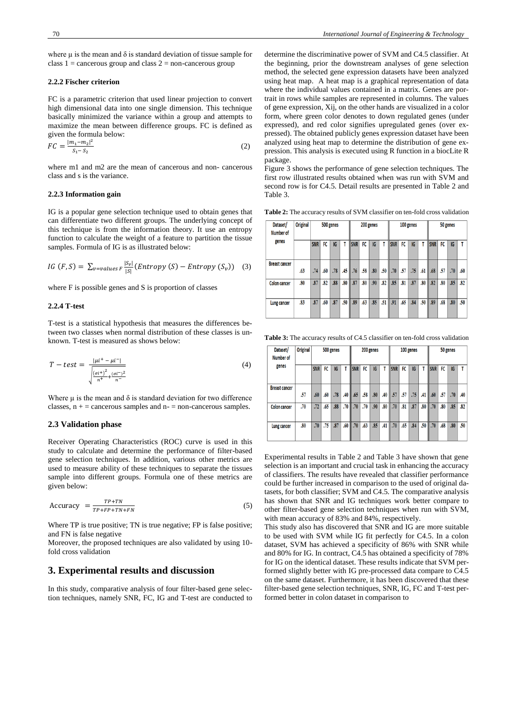where  $\mu$  is the mean and  $\delta$  is standard deviation of tissue sample for class  $1 =$  cancerous group and class  $2 =$  non-cancerous group

#### **2.2.2 Fischer criterion**

FC is a parametric criterion that used linear projection to convert high dimensional data into one single dimension. This technique basically minimized the variance within a group and attempts to maximize the mean between difference groups. FC is defined as given the formula below:

$$
FC = \frac{|m_1 - m_2|^2}{S_1 - S_2} \tag{2}
$$

where m1 and m2 are the mean of cancerous and non- cancerous class and s is the variance.

#### **2.2.3 Information gain**

IG is a popular gene selection technique used to obtain genes that can differentiate two different groups. The underlying concept of this technique is from the information theory. It use an entropy function to calculate the weight of a feature to partition the tissue samples. Formula of IG is as illustrated below:

$$
IG(F, S) = \sum_{v = values F} \frac{|S_v|}{|S|} (Entropy(S) - Entropy(S_v)) \quad (3)
$$

where F is possible genes and S is proportion of classes

#### **2.2.4 T-test**

T-test is a statistical hypothesis that measures the differences between two classes when normal distribution of these classes is unknown. T-test is measured as shows below:

$$
T - test = \frac{|\mu^{i+} - \mu^{i-}|\}{\sqrt{\frac{(\sigma^{i+})^2}{n^+} + \frac{(\sigma^{i-})^2}{n^-}}}
$$
(4)

Where  $\mu$  is the mean and  $\delta$  is standard deviation for two difference classes,  $n + =$  cancerous samples and  $n - =$  non-cancerous samples.

## **2.3 Validation phase**

Receiver Operating Characteristics (ROC) curve is used in this study to calculate and determine the performance of filter-based gene selection techniques. In addition, various other metrics are used to measure ability of these techniques to separate the tissues sample into different groups. Formula one of these metrics are given below:

$$
Accuracy = \frac{TP + TN}{TP + FP + TN + FN} \tag{5}
$$

Where TP is true positive; TN is true negative; FP is false positive; and FN is false negative

Moreover, the proposed techniques are also validated by using 10 fold cross validation

# **3. Experimental results and discussion**

In this study, comparative analysis of four filter-based gene selection techniques, namely SNR, FC, IG and T-test are conducted to determine the discriminative power of SVM and C4.5 classifier. At the beginning, prior the downstream analyses of gene selection method, the selected gene expression datasets have been analyzed using heat map. A heat map is a graphical representation of data where the individual values contained in a matrix. Genes are portrait in rows while samples are represented in columns. The values of gene expression, Xij, on the other hands are visualized in a color form, where green color denotes to down regulated genes (under expressed), and red color signifies upregulated genes (over expressed). The obtained publicly genes expression dataset have been analyzed using heat map to determine the distribution of gene expression. This analysis is executed using R function in a biocLite R package.

Figure 3 shows the performance of gene selection techniques. The first row illustrated results obtained when was run with SVM and second row is for C4.5. Detail results are presented in Table 2 and Table 3.

**Table 2:** The accuracy results of SVM classifier on ten-fold cross validation

| Dataset/<br>Number of | <b>Original</b> |            | 500 genes |     |     |                 | 200 genes |     |     |                       | 100 genes |     |     | 50 genes   |     |     |     |  |
|-----------------------|-----------------|------------|-----------|-----|-----|-----------------|-----------|-----|-----|-----------------------|-----------|-----|-----|------------|-----|-----|-----|--|
| genes                 |                 | <b>SNR</b> | FC        | IG  |     | <b>SNR</b>      | FC        | IG  | T   | <b>SNR</b>            | FC        | IG  | T   | <b>SNR</b> | FC  | IG  |     |  |
| <b>Breast cancer</b>  | .63             | .74        | .60       | .78 | .45 | $\parallel .76$ | .58       | .80 |     | $.50$ $\parallel .70$ | .57       | .75 | .61 | .68        | .57 | .70 | .60 |  |
| Colon cancer          | .80             | .87        | .82       | .88 | .80 | $\vert$ .87     | .80       | .90 | .82 | .85                   | .81       | .87 | .80 | .82        | .80 | .85 | .82 |  |
| Lung cancer           | .83             | .87        | .60       | .87 | .50 | .89             | .63       | .85 | .51 | .91                   | .65       | .84 | .50 | .89        | .68 | .80 | .50 |  |

**Table 3:** The accuracy results of C4.5 classifier on ten-fold cross validation

| Dataset/<br>Number of | <b>Original</b> |            |     | 500 genes |     |                 |     | 200 genes |     |             |     | 100 genes |     | 50 genes    |     |     |     |
|-----------------------|-----------------|------------|-----|-----------|-----|-----------------|-----|-----------|-----|-------------|-----|-----------|-----|-------------|-----|-----|-----|
| genes                 |                 | <b>SNR</b> | FC  | IG        |     | <b>SNR</b>      | FC  | IG        | T   | <b>ISNR</b> | FC  | IG        | T   | <b>SNR</b>  | FC  | IG  |     |
| <b>Breast cancer</b>  | .57             | .60        | .60 | .78       | .40 | $\parallel .65$ | .58 | .80       | .40 | .57         | .57 | .75       | .41 | $\vert$ .60 | .57 | .70 | .40 |
| <b>Colon cancer</b>   | .70             | .72        | .65 | .88       | .70 | .70             | .70 | .90       | .80 | .70         | .81 | .87       | .80 | .70         | .80 | .85 | .82 |
| Lung cancer           | .80             | .70        | .75 | .87       | .60 | .70             | .63 | .85       | .41 | .70         | .65 | .84       | .50 | .70         | .68 | .80 | .50 |

Experimental results in Table 2 and Table 3 have shown that gene selection is an important and crucial task in enhancing the accuracy of classifiers. The results have revealed that classifier performance could be further increased in comparison to the used of original datasets, for both classifier; SVM and C4.5. The comparative analysis has shown that SNR and IG techniques work better compare to other filter-based gene selection techniques when run with SVM, with mean accuracy of 83% and 84%, respectively.

This study also has discovered that SNR and IG are more suitable to be used with SVM while IG fit perfectly for C4.5. In a colon dataset, SVM has achieved a specificity of 86% with SNR while and 80% for IG. In contract, C4.5 has obtained a specificity of 78% for IG on the identical dataset. These results indicate that SVM performed slightly better with IG pre-processed data compare to C4.5 on the same dataset. Furthermore, it has been discovered that these filter-based gene selection techniques, SNR, IG, FC and T-test performed better in colon dataset in comparison to